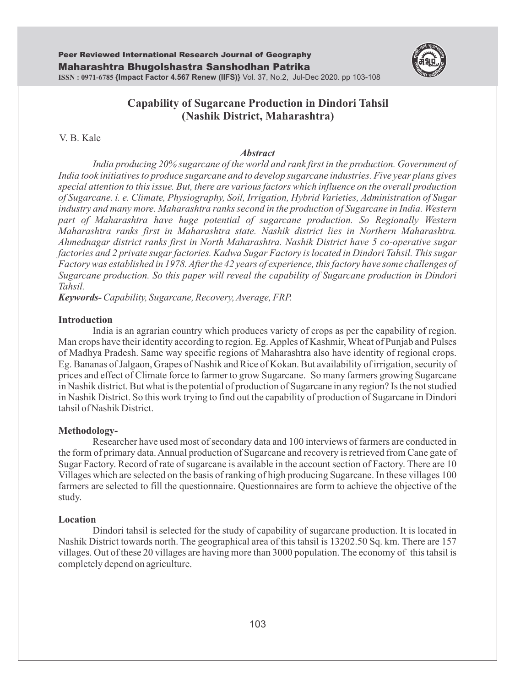

# **Capability of Sugarcane Production in Dindori Tahsil (Nashik District, Maharashtra)**

V. B. Kale

#### *Abstract*

*India producing 20% sugarcane of the world and rank first in the production. Government of India took initiatives to produce sugarcane and to develop sugarcane industries. Five year plans gives special attention to this issue. But, there are various factors which influence on the overall production of Sugarcane. i. e. Climate, Physiography, Soil, Irrigation, Hybrid Varieties, Administration of Sugar industry and many more. Maharashtra ranks second in the production of Sugarcane in India. Western part of Maharashtra have huge potential of sugarcane production. So Regionally Western Maharashtra ranks first in Maharashtra state. Nashik district lies in Northern Maharashtra. Ahmednagar district ranks first in North Maharashtra. Nashik District have 5 co-operative sugar factories and 2 private sugar factories. Kadwa Sugar Factory is located in Dindori Tahsil. This sugar Factory was established in 1978. After the 42 years of experience, this factory have some challenges of Sugarcane production. So this paper will reveal the capability of Sugarcane production in Dindori Tahsil.* 

*Keywords-Capability, Sugarcane, Recovery, Average, FRP.*

### **Introduction**

India is an agrarian country which produces variety of crops as per the capability of region. Man crops have their identity according to region. Eg. Apples of Kashmir, Wheat of Punjab and Pulses of Madhya Pradesh. Same way specific regions of Maharashtra also have identity of regional crops. Eg. Bananas of Jalgaon, Grapes of Nashik and Rice of Kokan. But availability of irrigation, security of prices and effect of Climate force to farmer to grow Sugarcane. So many farmers growing Sugarcane in Nashik district. But what is the potential of production of Sugarcane in any region? Is the not studied in Nashik District. So this work trying to find out the capability of production of Sugarcane in Dindori tahsil of Nashik District.

### **Methodology-**

Researcher have used most of secondary data and 100 interviews of farmers are conducted in the form of primary data. Annual production of Sugarcane and recovery is retrieved from Cane gate of Sugar Factory. Record of rate of sugarcane is available in the account section of Factory. There are 10 Villages which are selected on the basis of ranking of high producing Sugarcane. In these villages 100 farmers are selected to fill the questionnaire. Questionnaires are form to achieve the objective of the study.

### **Location**

Dindori tahsil is selected for the study of capability of sugarcane production. It is located in Nashik District towards north. The geographical area of this tahsil is 13202.50 Sq. km. There are 157 villages. Out of these 20 villages are having more than 3000 population. The economy of this tahsil is completely depend on agriculture.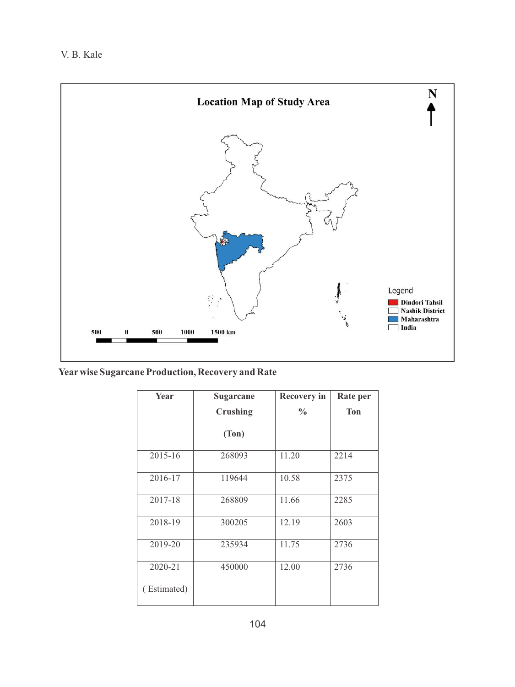

**Yearwise Sugarcane Production, Recovery and Rate** 

| Year        | Sugarcane       | <b>Recovery in</b> | Rate per   |
|-------------|-----------------|--------------------|------------|
|             | <b>Crushing</b> | $\frac{0}{0}$      | <b>Ton</b> |
|             | (Ton)           |                    |            |
| $2015 - 16$ | 268093          | 11.20              | 2214       |
| 2016-17     | 119644          | 10.58              | 2375       |
| 2017-18     | 268809          | 11.66              | 2285       |
| 2018-19     | 300205          | 12.19              | 2603       |
| 2019-20     | 235934          | 11.75              | 2736       |
| 2020-21     | 450000          | 12.00              | 2736       |
| (Estimated) |                 |                    |            |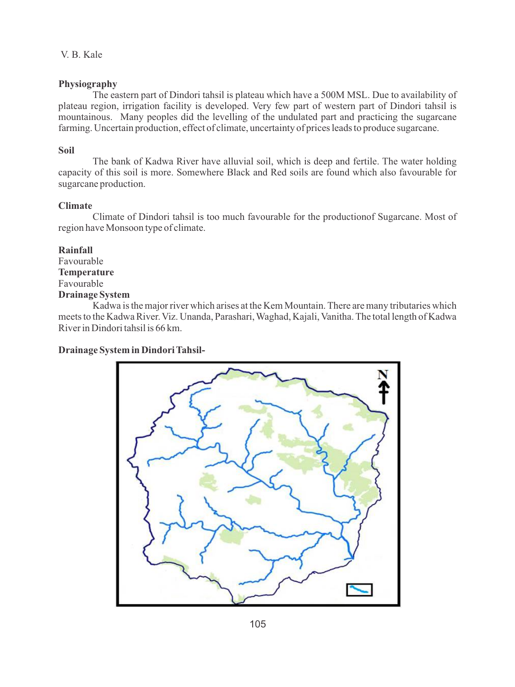## **Physiography**

The eastern part of Dindori tahsil is plateau which have a 500M MSL. Due to availability of plateau region, irrigation facility is developed. Very few part of western part of Dindori tahsil is mountainous. Many peoples did the levelling of the undulated part and practicing the sugarcane farming. Uncertain production, effect of climate, uncertainty of prices leads to produce sugarcane.

## **Soil**

The bank of Kadwa River have alluvial soil, which is deep and fertile. The water holding capacity of this soil is more. Somewhere Black and Red soils are found which also favourable for sugarcane production.

## **Climate**

Climate of Dindori tahsil is too much favourable for the productionof Sugarcane. Most of region have Monsoon type of climate.

**Rainfall** Favourable **Temperature** Favourable **Drainage System**

Kadwa is the major river which arises at the Kem Mountain. There are many tributaries which meets to the Kadwa River. Viz. Unanda, Parashari, Waghad, Kajali, Vanitha. The total length of Kadwa River in Dindori tahsil is 66 km.

## **Drainage System in Dindori Tahsil-**

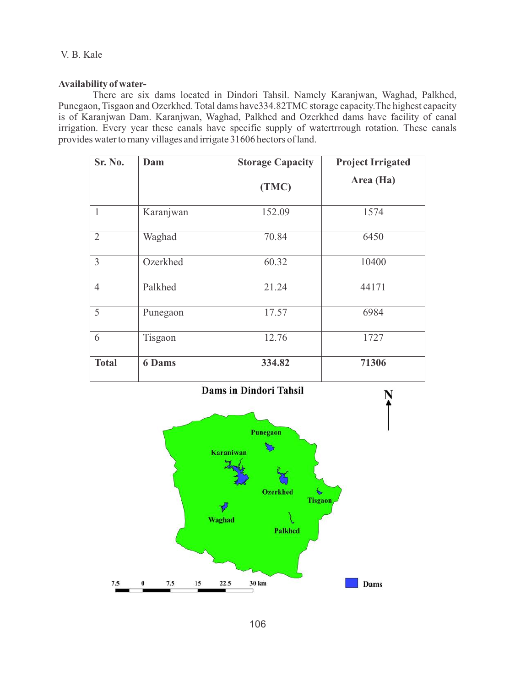## **Availability of water-**

There are six dams located in Dindori Tahsil. Namely Karanjwan, Waghad, Palkhed, Punegaon, Tisgaon and Ozerkhed. Total dams have334.82TMC storage capacity.The highest capacity is of Karanjwan Dam. Karanjwan, Waghad, Palkhed and Ozerkhed dams have facility of canal irrigation. Every year these canals have specific supply of watertrrough rotation. These canals provides water to many villages and irrigate 31606 hectors of land.

| Sr. No.        | Dam           | <b>Storage Capacity</b> | <b>Project Irrigated</b> |
|----------------|---------------|-------------------------|--------------------------|
|                |               | (TMC)                   | Area (Ha)                |
| $\mathbf{1}$   | Karanjwan     | 152.09                  | 1574                     |
| $\overline{2}$ | Waghad        | 70.84                   | 6450                     |
| $\overline{3}$ | Ozerkhed      | 60.32                   | 10400                    |
| $\overline{4}$ | Palkhed       | 21.24                   | 44171                    |
| 5              | Punegaon      | 17.57                   | 6984                     |
| 6              | Tisgaon       | 12.76                   | 1727                     |
| <b>Total</b>   | <b>6 Dams</b> | 334.82                  | 71306                    |

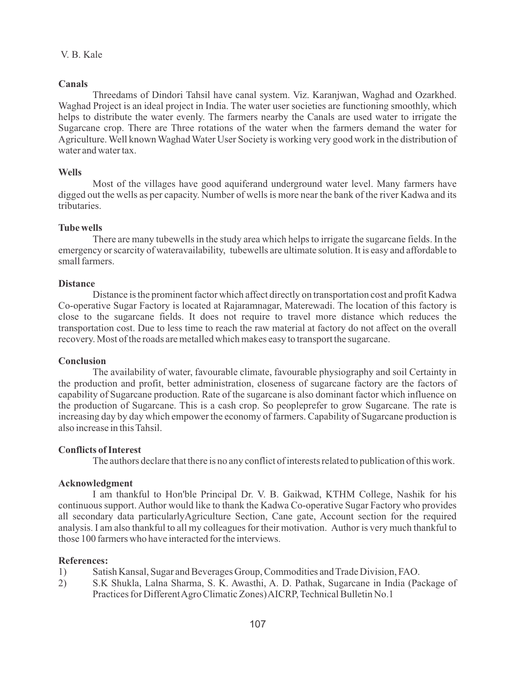## **Canals**

Threedams of Dindori Tahsil have canal system. Viz. Karanjwan, Waghad and Ozarkhed. Waghad Project is an ideal project in India. The water user societies are functioning smoothly, which helps to distribute the water evenly. The farmers nearby the Canals are used water to irrigate the Sugarcane crop. There are Three rotations of the water when the farmers demand the water for Agriculture. Well known Waghad Water User Society is working very good work in the distribution of water and water tax.

### **Wells**

Most of the villages have good aquiferand underground water level. Many farmers have digged out the wells as per capacity. Number of wells is more near the bank of the river Kadwa and its tributaries.

### **Tube wells**

There are many tubewells in the study area which helps to irrigate the sugarcane fields. In the emergency or scarcity of wateravailability, tubewells are ultimate solution. It is easy and affordable to small farmers.

#### **Distance**

Distance is the prominent factor which affect directly on transportation cost and profit Kadwa Co-operative Sugar Factory is located at Rajaramnagar, Materewadi. The location of this factory is close to the sugarcane fields. It does not require to travel more distance which reduces the transportation cost. Due to less time to reach the raw material at factory do not affect on the overall recovery. Most of the roads are metalled which makes easy to transport the sugarcane.

#### **Conclusion**

The availability of water, favourable climate, favourable physiography and soil Certainty in the production and profit, better administration, closeness of sugarcane factory are the factors of capability of Sugarcane production. Rate of the sugarcane is also dominant factor which influence on the production of Sugarcane. This is a cash crop. So peopleprefer to grow Sugarcane. The rate is increasing day by day which empower the economy of farmers. Capability of Sugarcane production is also increase in this Tahsil.

### **Conflicts of Interest**

The authors declare that there is no any conflict of interests related to publication of this work.

### **Acknowledgment**

I am thankful to Hon'ble Principal Dr. V. B. Gaikwad, KTHM College, Nashik for his continuous support. Author would like to thank the Kadwa Co-operative Sugar Factory who provides all secondary data particularlyAgriculture Section, Cane gate, Account section for the required analysis. I am also thankful to all my colleagues for their motivation. Author is very much thankful to those 100 farmers who have interacted for the interviews.

#### **References:**

- 1) Satish Kansal, Sugar and Beverages Group, Commodities and Trade Division, FAO.<br>2) S.K. Shukla, Lalna Sharma, S. K. Awasthi, A. D. Pathak, Sugarcane in India (Pa
- 2) S.K Shukla, Lalna Sharma, S. K. Awasthi, A. D. Pathak, Sugarcane in India (Package of Practices for Different Agro Climatic Zones) AICRP, Technical Bulletin No.1